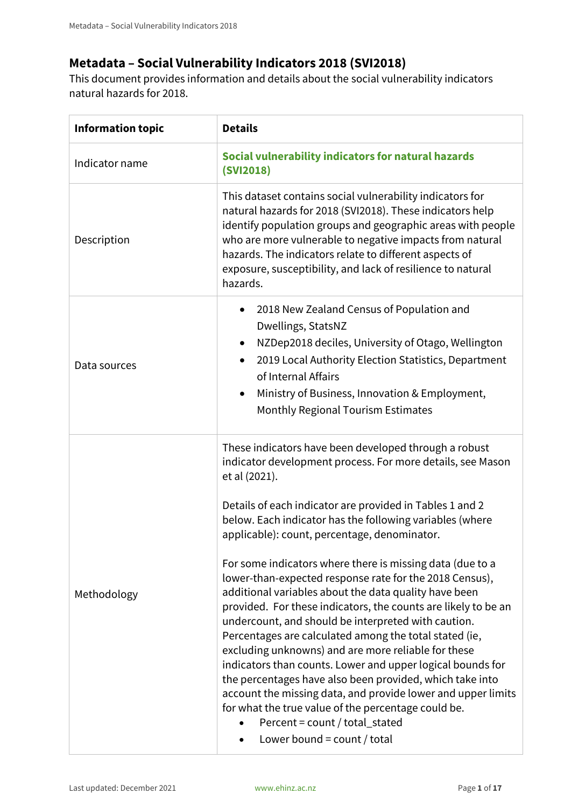# **Metadata – Social Vulnerability Indicators 2018 (SVI2018)**

This document provides information and details about the social vulnerability indicators natural hazards for 2018.

| <b>Information topic</b> | <b>Details</b>                                                                                                                                                                                                                                                                                                                                                                                                                                                                                                                                                                                                                                                                                                                                                                                                                                                                                                                                                                                                                                              |
|--------------------------|-------------------------------------------------------------------------------------------------------------------------------------------------------------------------------------------------------------------------------------------------------------------------------------------------------------------------------------------------------------------------------------------------------------------------------------------------------------------------------------------------------------------------------------------------------------------------------------------------------------------------------------------------------------------------------------------------------------------------------------------------------------------------------------------------------------------------------------------------------------------------------------------------------------------------------------------------------------------------------------------------------------------------------------------------------------|
| Indicator name           | Social vulnerability indicators for natural hazards<br>(SVI2018)                                                                                                                                                                                                                                                                                                                                                                                                                                                                                                                                                                                                                                                                                                                                                                                                                                                                                                                                                                                            |
| Description              | This dataset contains social vulnerability indicators for<br>natural hazards for 2018 (SVI2018). These indicators help<br>identify population groups and geographic areas with people<br>who are more vulnerable to negative impacts from natural<br>hazards. The indicators relate to different aspects of<br>exposure, susceptibility, and lack of resilience to natural<br>hazards.                                                                                                                                                                                                                                                                                                                                                                                                                                                                                                                                                                                                                                                                      |
| Data sources             | 2018 New Zealand Census of Population and<br>٠<br>Dwellings, StatsNZ<br>NZDep2018 deciles, University of Otago, Wellington<br>$\bullet$<br>2019 Local Authority Election Statistics, Department<br>$\bullet$<br>of Internal Affairs<br>Ministry of Business, Innovation & Employment,<br>$\bullet$<br>Monthly Regional Tourism Estimates                                                                                                                                                                                                                                                                                                                                                                                                                                                                                                                                                                                                                                                                                                                    |
| Methodology              | These indicators have been developed through a robust<br>indicator development process. For more details, see Mason<br>et al (2021).<br>Details of each indicator are provided in Tables 1 and 2<br>below. Each indicator has the following variables (where<br>applicable): count, percentage, denominator.<br>For some indicators where there is missing data (due to a<br>lower-than-expected response rate for the 2018 Census),<br>additional variables about the data quality have been<br>provided. For these indicators, the counts are likely to be an<br>undercount, and should be interpreted with caution.<br>Percentages are calculated among the total stated (ie,<br>excluding unknowns) and are more reliable for these<br>indicators than counts. Lower and upper logical bounds for<br>the percentages have also been provided, which take into<br>account the missing data, and provide lower and upper limits<br>for what the true value of the percentage could be.<br>Percent = count / total_stated<br>Lower bound = $count / total$ |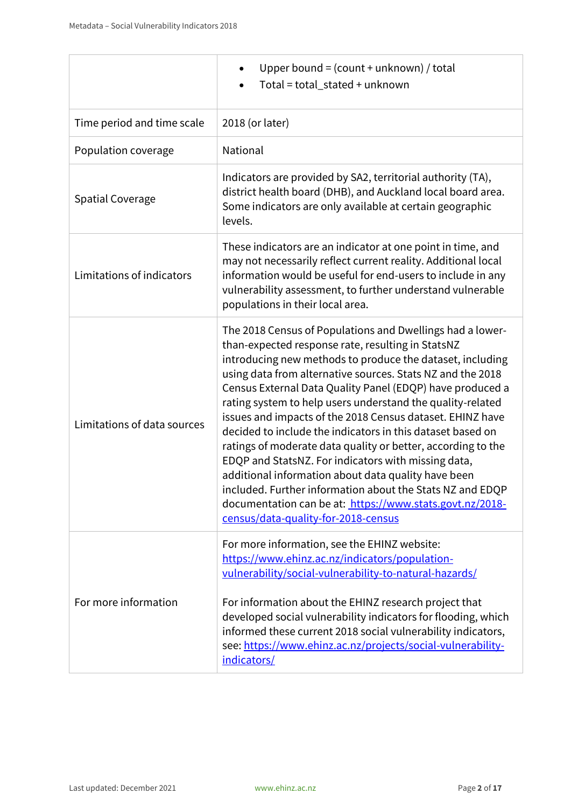|                             | Upper bound = $\left(\text{count} + \text{unknown}\right) / \text{total}$<br>$\bullet$<br>Total = total_stated + unknown                                                                                                                                                                                                                                                                                                                                                                                                                                                                                                                                                                                                                                                                                                                      |
|-----------------------------|-----------------------------------------------------------------------------------------------------------------------------------------------------------------------------------------------------------------------------------------------------------------------------------------------------------------------------------------------------------------------------------------------------------------------------------------------------------------------------------------------------------------------------------------------------------------------------------------------------------------------------------------------------------------------------------------------------------------------------------------------------------------------------------------------------------------------------------------------|
| Time period and time scale  | 2018 (or later)                                                                                                                                                                                                                                                                                                                                                                                                                                                                                                                                                                                                                                                                                                                                                                                                                               |
| Population coverage         | National                                                                                                                                                                                                                                                                                                                                                                                                                                                                                                                                                                                                                                                                                                                                                                                                                                      |
| <b>Spatial Coverage</b>     | Indicators are provided by SA2, territorial authority (TA),<br>district health board (DHB), and Auckland local board area.<br>Some indicators are only available at certain geographic<br>levels.                                                                                                                                                                                                                                                                                                                                                                                                                                                                                                                                                                                                                                             |
| Limitations of indicators   | These indicators are an indicator at one point in time, and<br>may not necessarily reflect current reality. Additional local<br>information would be useful for end-users to include in any<br>vulnerability assessment, to further understand vulnerable<br>populations in their local area.                                                                                                                                                                                                                                                                                                                                                                                                                                                                                                                                                 |
| Limitations of data sources | The 2018 Census of Populations and Dwellings had a lower-<br>than-expected response rate, resulting in StatsNZ<br>introducing new methods to produce the dataset, including<br>using data from alternative sources. Stats NZ and the 2018<br>Census External Data Quality Panel (EDQP) have produced a<br>rating system to help users understand the quality-related<br>issues and impacts of the 2018 Census dataset. EHINZ have<br>decided to include the indicators in this dataset based on<br>ratings of moderate data quality or better, according to the<br>EDQP and StatsNZ. For indicators with missing data,<br>additional information about data quality have been<br>included. Further information about the Stats NZ and EDQP<br>documentation can be at: https://www.stats.govt.nz/2018-<br>census/data-quality-for-2018-census |
| For more information        | For more information, see the EHINZ website:<br>https://www.ehinz.ac.nz/indicators/population-<br>vulnerability/social-vulnerability-to-natural-hazards/<br>For information about the EHINZ research project that<br>developed social vulnerability indicators for flooding, which<br>informed these current 2018 social vulnerability indicators,<br>see: https://www.ehinz.ac.nz/projects/social-vulnerability-<br>indicators/                                                                                                                                                                                                                                                                                                                                                                                                              |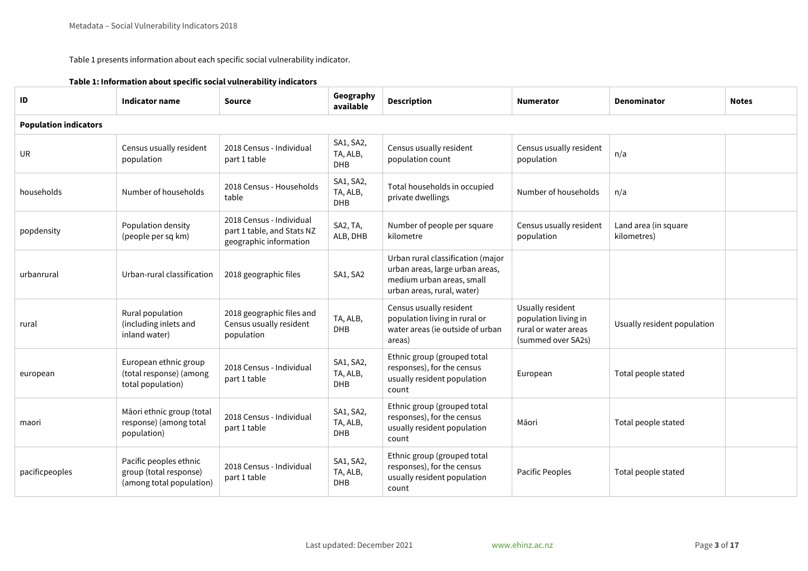Table 1 presents information about each specific social vulnerability indicator.

| ID                           | <b>Indicator name</b>                                                        | <b>Source</b>                                                                    | Geography<br>available              | <b>Description</b>                                                                                                              | <b>Numerator</b>                                                                       | <b>Denominator</b>                  | <b>Notes</b> |
|------------------------------|------------------------------------------------------------------------------|----------------------------------------------------------------------------------|-------------------------------------|---------------------------------------------------------------------------------------------------------------------------------|----------------------------------------------------------------------------------------|-------------------------------------|--------------|
| <b>Population indicators</b> |                                                                              |                                                                                  |                                     |                                                                                                                                 |                                                                                        |                                     |              |
| <b>UR</b>                    | Census usually resident<br>population                                        | 2018 Census - Individual<br>part 1 table                                         | SA1, SA2,<br>TA, ALB,<br><b>DHB</b> | Census usually resident<br>population count                                                                                     | Census usually resident<br>population                                                  | n/a                                 |              |
| households                   | Number of households                                                         | 2018 Census - Households<br>table                                                | SA1, SA2,<br>TA, ALB,<br><b>DHB</b> | Total households in occupied<br>private dwellings                                                                               | Number of households                                                                   | n/a                                 |              |
| popdensity                   | Population density<br>(people per sq km)                                     | 2018 Census - Individual<br>part 1 table, and Stats NZ<br>geographic information | SA2, TA,<br>ALB, DHB                | Number of people per square<br>kilometre                                                                                        | Census usually resident<br>population                                                  | Land area (in square<br>kilometres) |              |
| urbanrural                   | Urban-rural classification                                                   | 2018 geographic files                                                            | SA1, SA2                            | Urban rural classification (major<br>urban areas, large urban areas,<br>medium urban areas, small<br>urban areas, rural, water) |                                                                                        |                                     |              |
| rural                        | Rural population<br>(including inlets and<br>inland water)                   | 2018 geographic files and<br>Census usually resident<br>population               | TA, ALB,<br><b>DHB</b>              | Census usually resident<br>population living in rural or<br>water areas (ie outside of urban<br>areas)                          | Usually resident<br>population living in<br>rural or water areas<br>(summed over SA2s) | Usually resident population         |              |
| european                     | European ethnic group<br>(total response) (among<br>total population)        | 2018 Census - Individual<br>part 1 table                                         | SA1, SA2,<br>TA, ALB,<br><b>DHB</b> | Ethnic group (grouped total<br>responses), for the census<br>usually resident population<br>count                               | European                                                                               | Total people stated                 |              |
| maori                        | Māori ethnic group (total<br>response) (among total<br>population)           | 2018 Census - Individual<br>part 1 table                                         | SA1, SA2,<br>TA, ALB,<br>DHB        | Ethnic group (grouped total<br>responses), for the census<br>usually resident population<br>count                               | Māori                                                                                  | Total people stated                 |              |
| pacificpeoples               | Pacific peoples ethnic<br>group (total response)<br>(among total population) | 2018 Census - Individual<br>part 1 table                                         | SA1, SA2,<br>TA, ALB,<br><b>DHB</b> | Ethnic group (grouped total<br>responses), for the census<br>usually resident population<br>count                               | Pacific Peoples                                                                        | Total people stated                 |              |

## **Table 1: Information about specific social vulnerability indicators**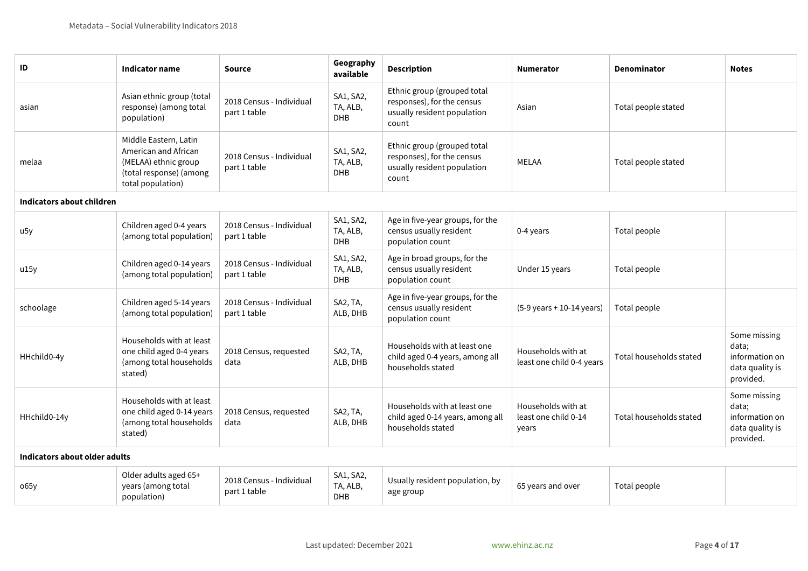| ID                            | Indicator name                                                                                                        | <b>Source</b>                            | Geography<br>available              | <b>Description</b>                                                                                | <b>Numerator</b>                                    | <b>Denominator</b>      | <b>Notes</b>                                                            |  |  |  |
|-------------------------------|-----------------------------------------------------------------------------------------------------------------------|------------------------------------------|-------------------------------------|---------------------------------------------------------------------------------------------------|-----------------------------------------------------|-------------------------|-------------------------------------------------------------------------|--|--|--|
| asian                         | Asian ethnic group (total<br>response) (among total<br>population)                                                    | 2018 Census - Individual<br>part 1 table | SA1, SA2,<br>TA, ALB,<br>DHB        | Ethnic group (grouped total<br>responses), for the census<br>usually resident population<br>count | Asian                                               | Total people stated     |                                                                         |  |  |  |
| melaa                         | Middle Eastern, Latin<br>American and African<br>(MELAA) ethnic group<br>(total response) (among<br>total population) | 2018 Census - Individual<br>part 1 table | SA1, SA2,<br>TA, ALB,<br>DHB        | Ethnic group (grouped total<br>responses), for the census<br>usually resident population<br>count | MELAA                                               | Total people stated     |                                                                         |  |  |  |
| Indicators about children     |                                                                                                                       |                                          |                                     |                                                                                                   |                                                     |                         |                                                                         |  |  |  |
| u5y                           | Children aged 0-4 years<br>(among total population)                                                                   | 2018 Census - Individual<br>part 1 table | SA1, SA2,<br>TA, ALB,<br>DHB        | Age in five-year groups, for the<br>census usually resident<br>population count                   | 0-4 years                                           | Total people            |                                                                         |  |  |  |
| u15y                          | Children aged 0-14 years<br>(among total population)                                                                  | 2018 Census - Individual<br>part 1 table | SA1, SA2,<br>TA, ALB,<br>DHB        | Age in broad groups, for the<br>census usually resident<br>population count                       | Under 15 years                                      | Total people            |                                                                         |  |  |  |
| schoolage                     | Children aged 5-14 years<br>(among total population)                                                                  | 2018 Census - Individual<br>part 1 table | SA2, TA,<br>ALB, DHB                | Age in five-year groups, for the<br>census usually resident<br>population count                   | $(5-9 \text{ years} + 10-14 \text{ years})$         | Total people            |                                                                         |  |  |  |
| HHchild0-4y                   | Households with at least<br>one child aged 0-4 years<br>(among total households<br>stated)                            | 2018 Census, requested<br>data           | SA2, TA,<br>ALB, DHB                | Households with at least one<br>child aged 0-4 years, among all<br>households stated              | Households with at<br>least one child 0-4 years     | Total households stated | Some missing<br>data;<br>information on<br>data quality is<br>provided. |  |  |  |
| HHchild0-14y                  | Households with at least<br>one child aged 0-14 years<br>(among total households<br>stated)                           | 2018 Census, requested<br>data           | SA2, TA,<br>ALB, DHB                | Households with at least one<br>child aged 0-14 years, among all<br>households stated             | Households with at<br>least one child 0-14<br>years | Total households stated | Some missing<br>data;<br>information on<br>data quality is<br>provided. |  |  |  |
| Indicators about older adults |                                                                                                                       |                                          |                                     |                                                                                                   |                                                     |                         |                                                                         |  |  |  |
| o65y                          | Older adults aged 65+<br>years (among total<br>population)                                                            | 2018 Census - Individual<br>part 1 table | SA1, SA2,<br>TA, ALB,<br><b>DHB</b> | Usually resident population, by<br>age group                                                      | 65 years and over                                   | Total people            |                                                                         |  |  |  |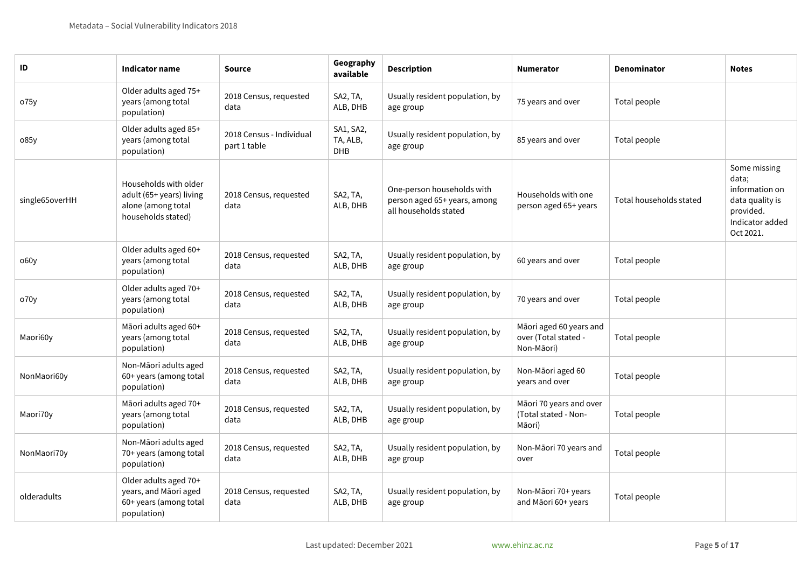| ID             | Indicator name                                                                                | <b>Source</b>                            | Geography<br>available              | <b>Description</b>                                                                  | <b>Numerator</b>                                              | <b>Denominator</b>      | <b>Notes</b>                                                                                            |
|----------------|-----------------------------------------------------------------------------------------------|------------------------------------------|-------------------------------------|-------------------------------------------------------------------------------------|---------------------------------------------------------------|-------------------------|---------------------------------------------------------------------------------------------------------|
| o75y           | Older adults aged 75+<br>years (among total<br>population)                                    | 2018 Census, requested<br>data           | SA2, TA,<br>ALB, DHB                | Usually resident population, by<br>age group                                        | 75 years and over                                             | Total people            |                                                                                                         |
| 085y           | Older adults aged 85+<br>years (among total<br>population)                                    | 2018 Census - Individual<br>part 1 table | SA1, SA2,<br>TA, ALB,<br><b>DHB</b> | Usually resident population, by<br>age group                                        | 85 years and over                                             | Total people            |                                                                                                         |
| single65overHH | Households with older<br>adult (65+ years) living<br>alone (among total<br>households stated) | 2018 Census, requested<br>data           | SA2, TA,<br>ALB, DHB                | One-person households with<br>person aged 65+ years, among<br>all households stated | Households with one<br>person aged 65+ years                  | Total households stated | Some missing<br>data;<br>information on<br>data quality is<br>provided.<br>Indicator added<br>Oct 2021. |
| o60y           | Older adults aged 60+<br>years (among total<br>population)                                    | 2018 Census, requested<br>data           | SA2, TA,<br>ALB, DHB                | Usually resident population, by<br>age group                                        | 60 years and over                                             | Total people            |                                                                                                         |
| o70y           | Older adults aged 70+<br>years (among total<br>population)                                    | 2018 Census, requested<br>data           | SA2, TA,<br>ALB, DHB                | Usually resident population, by<br>age group                                        | 70 years and over                                             | Total people            |                                                                                                         |
| Maori60y       | Māori adults aged 60+<br>years (among total<br>population)                                    | 2018 Census, requested<br>data           | SA2, TA,<br>ALB, DHB                | Usually resident population, by<br>age group                                        | Māori aged 60 years and<br>over (Total stated -<br>Non-Māori) | Total people            |                                                                                                         |
| NonMaori60y    | Non-Māori adults aged<br>60+ years (among total<br>population)                                | 2018 Census, requested<br>data           | SA2, TA,<br>ALB, DHB                | Usually resident population, by<br>age group                                        | Non-Māori aged 60<br>years and over                           | Total people            |                                                                                                         |
| Maori70y       | Māori adults aged 70+<br>years (among total<br>population)                                    | 2018 Census, requested<br>data           | SA2, TA,<br>ALB, DHB                | Usually resident population, by<br>age group                                        | Māori 70 years and over<br>(Total stated - Non-<br>Māori)     | Total people            |                                                                                                         |
| NonMaori70y    | Non-Māori adults aged<br>70+ years (among total<br>population)                                | 2018 Census, requested<br>data           | SA2, TA,<br>ALB, DHB                | Usually resident population, by<br>age group                                        | Non-Māori 70 years and<br>over                                | Total people            |                                                                                                         |
| olderadults    | Older adults aged 70+<br>years, and Māori aged<br>60+ years (among total<br>population)       | 2018 Census, requested<br>data           | SA2, TA,<br>ALB, DHB                | Usually resident population, by<br>age group                                        | Non-Māori 70+ years<br>and Māori 60+ years                    | Total people            |                                                                                                         |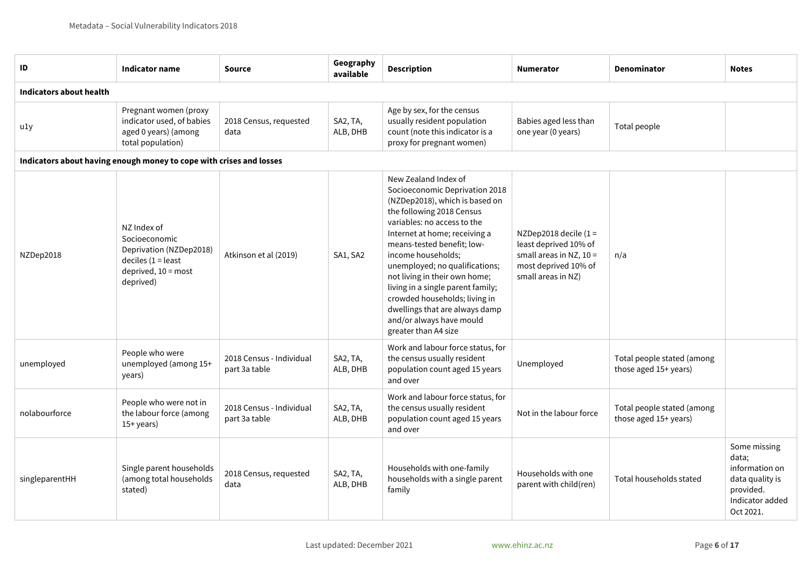| ID                      | <b>Indicator name</b>                                                                                               | <b>Source</b>                             | Geography<br>available | <b>Description</b>                                                                                                                                                                                                                                                                                                                                                                                                                                                       | <b>Numerator</b>                                                                                                            | <b>Denominator</b>                                  | <b>Notes</b>                                                                                            |
|-------------------------|---------------------------------------------------------------------------------------------------------------------|-------------------------------------------|------------------------|--------------------------------------------------------------------------------------------------------------------------------------------------------------------------------------------------------------------------------------------------------------------------------------------------------------------------------------------------------------------------------------------------------------------------------------------------------------------------|-----------------------------------------------------------------------------------------------------------------------------|-----------------------------------------------------|---------------------------------------------------------------------------------------------------------|
| Indicators about health |                                                                                                                     |                                           |                        |                                                                                                                                                                                                                                                                                                                                                                                                                                                                          |                                                                                                                             |                                                     |                                                                                                         |
| u1y                     | Pregnant women (proxy<br>indicator used, of babies<br>aged 0 years) (among<br>total population)                     | 2018 Census, requested<br>data            | SA2, TA,<br>ALB, DHB   | Age by sex, for the census<br>usually resident population<br>count (note this indicator is a<br>proxy for pregnant women)                                                                                                                                                                                                                                                                                                                                                | Babies aged less than<br>one year (0 years)                                                                                 | Total people                                        |                                                                                                         |
|                         | Indicators about having enough money to cope with crises and losses                                                 |                                           |                        |                                                                                                                                                                                                                                                                                                                                                                                                                                                                          |                                                                                                                             |                                                     |                                                                                                         |
| NZDep2018               | NZ Index of<br>Socioeconomic<br>Deprivation (NZDep2018)<br>deciles $(1 =$ least<br>deprived, 10 = most<br>deprived) | Atkinson et al (2019)                     | SA1, SA2               | New Zealand Index of<br>Socioeconomic Deprivation 2018<br>(NZDep2018), which is based on<br>the following 2018 Census<br>variables: no access to the<br>Internet at home; receiving a<br>means-tested benefit; low-<br>income households;<br>unemployed; no qualifications;<br>not living in their own home;<br>living in a single parent family;<br>crowded households; living in<br>dwellings that are always damp<br>and/or always have mould<br>greater than A4 size | NZDep2018 decile $(1 =$<br>least deprived 10% of<br>small areas in NZ, $10 =$<br>most deprived 10% of<br>small areas in NZ) | n/a                                                 |                                                                                                         |
| unemployed              | People who were<br>unemployed (among 15+<br>years)                                                                  | 2018 Census - Individual<br>part 3a table | SA2, TA,<br>ALB, DHB   | Work and labour force status, for<br>the census usually resident<br>population count aged 15 years<br>and over                                                                                                                                                                                                                                                                                                                                                           | Unemployed                                                                                                                  | Total people stated (among<br>those aged 15+ years) |                                                                                                         |
| nolabourforce           | People who were not in<br>the labour force (among<br>$15+ \text{years}$                                             | 2018 Census - Individual<br>part 3a table | SA2, TA,<br>ALB, DHB   | Work and labour force status, for<br>the census usually resident<br>population count aged 15 years<br>and over                                                                                                                                                                                                                                                                                                                                                           | Not in the labour force                                                                                                     | Total people stated (among<br>those aged 15+ years) |                                                                                                         |
| singleparentHH          | Single parent households<br>(among total households<br>stated)                                                      | 2018 Census, requested<br>data            | SA2, TA,<br>ALB, DHB   | Households with one-family<br>households with a single parent<br>family                                                                                                                                                                                                                                                                                                                                                                                                  | Households with one<br>parent with child(ren)                                                                               | Total households stated                             | Some missing<br>data;<br>information on<br>data quality is<br>provided.<br>Indicator added<br>Oct 2021. |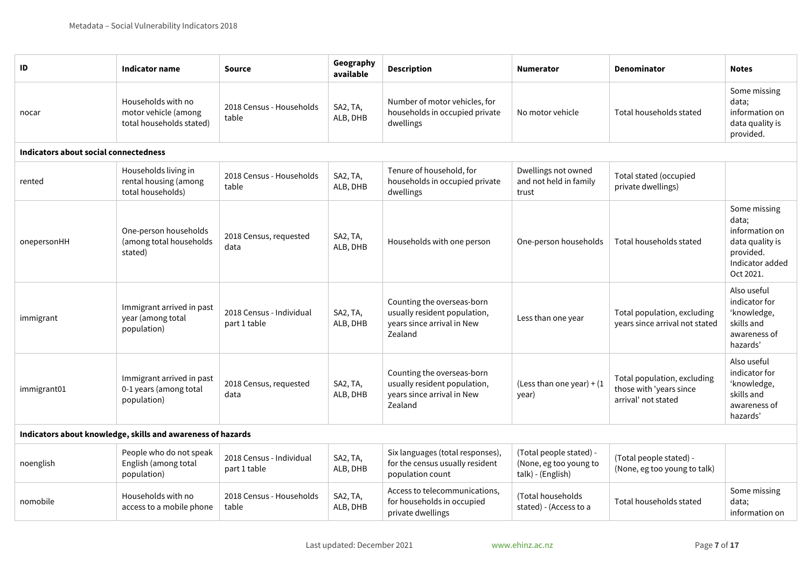access to a mobile phone

table

| ID                                                                                                                                                                                                                                                                                                                                                                                                                                                                                                                                                                                                                                                                                                                                                                                                                                                                                                                                                                                                                                                                                                                                                                                                                                                                                                                                                                                                                                                                                                                                                                                                                                                                                           | <b>Indicator name</b>                                                  | <b>Source</b>                            | Geography<br>available | <b>Description</b>                                                                      | <b>Numerator</b>                                                       | <b>Denominator</b>                                      | <b>Notes</b>                                                            |  |  |
|----------------------------------------------------------------------------------------------------------------------------------------------------------------------------------------------------------------------------------------------------------------------------------------------------------------------------------------------------------------------------------------------------------------------------------------------------------------------------------------------------------------------------------------------------------------------------------------------------------------------------------------------------------------------------------------------------------------------------------------------------------------------------------------------------------------------------------------------------------------------------------------------------------------------------------------------------------------------------------------------------------------------------------------------------------------------------------------------------------------------------------------------------------------------------------------------------------------------------------------------------------------------------------------------------------------------------------------------------------------------------------------------------------------------------------------------------------------------------------------------------------------------------------------------------------------------------------------------------------------------------------------------------------------------------------------------|------------------------------------------------------------------------|------------------------------------------|------------------------|-----------------------------------------------------------------------------------------|------------------------------------------------------------------------|---------------------------------------------------------|-------------------------------------------------------------------------|--|--|
| nocar                                                                                                                                                                                                                                                                                                                                                                                                                                                                                                                                                                                                                                                                                                                                                                                                                                                                                                                                                                                                                                                                                                                                                                                                                                                                                                                                                                                                                                                                                                                                                                                                                                                                                        | Households with no<br>motor vehicle (among<br>total households stated) | 2018 Census - Households<br>table        | SA2, TA,<br>ALB, DHB   | Number of motor vehicles, for<br>households in occupied private<br>dwellings            | No motor vehicle                                                       | Total households stated                                 | Some missing<br>data;<br>information on<br>data quality is<br>provided. |  |  |
| Indicators about social connectedness<br>Households living in<br>Tenure of household, for<br>Dwellings not owned<br>2018 Census - Households<br>SA2, TA,<br>Total stated (occupied<br>households in occupied private<br>and not held in family<br>rental housing (among<br>rented<br>ALB, DHB<br>private dwellings)<br>table<br>total households)<br>dwellings<br>trust<br>Some missing<br>data;<br>One-person households<br>information on<br>SA2, TA,<br>2018 Census, requested<br>(among total households<br>Households with one person<br>Total households stated<br>One-person households<br>data quality is<br>onepersonHH<br>data<br>ALB, DHB<br>stated)<br>provided.<br>Indicator added<br>Oct 2021.<br>Also useful<br>Counting the overseas-born<br>indicator for<br>Immigrant arrived in past<br>usually resident population,<br>2018 Census - Individual<br>SA2, TA,<br>Total population, excluding<br>'knowledge,<br>year (among total<br>Less than one year<br>immigrant<br>years since arrival in New<br>part 1 table<br>ALB, DHB<br>years since arrival not stated<br>skills and<br>population)<br>Zealand<br>awareness of<br>hazards'<br>Also useful<br>Counting the overseas-born<br>indicator for<br>Immigrant arrived in past<br>Total population, excluding<br>2018 Census, requested<br>SA2, TA,<br>usually resident population,<br>(Less than one year) + $(1$<br>'knowledge,<br>those with 'years since<br>0-1 years (among total<br>immigrant01<br>skills and<br>ALB, DHB<br>years since arrival in New<br>data<br>year)<br>arrival' not stated<br>population)<br>Zealand<br>awareness of<br>hazards'<br>Indicators about knowledge, skills and awareness of hazards |                                                                        |                                          |                        |                                                                                         |                                                                        |                                                         |                                                                         |  |  |
|                                                                                                                                                                                                                                                                                                                                                                                                                                                                                                                                                                                                                                                                                                                                                                                                                                                                                                                                                                                                                                                                                                                                                                                                                                                                                                                                                                                                                                                                                                                                                                                                                                                                                              |                                                                        |                                          |                        |                                                                                         |                                                                        |                                                         |                                                                         |  |  |
|                                                                                                                                                                                                                                                                                                                                                                                                                                                                                                                                                                                                                                                                                                                                                                                                                                                                                                                                                                                                                                                                                                                                                                                                                                                                                                                                                                                                                                                                                                                                                                                                                                                                                              |                                                                        |                                          |                        |                                                                                         |                                                                        |                                                         |                                                                         |  |  |
|                                                                                                                                                                                                                                                                                                                                                                                                                                                                                                                                                                                                                                                                                                                                                                                                                                                                                                                                                                                                                                                                                                                                                                                                                                                                                                                                                                                                                                                                                                                                                                                                                                                                                              |                                                                        |                                          |                        |                                                                                         |                                                                        |                                                         |                                                                         |  |  |
|                                                                                                                                                                                                                                                                                                                                                                                                                                                                                                                                                                                                                                                                                                                                                                                                                                                                                                                                                                                                                                                                                                                                                                                                                                                                                                                                                                                                                                                                                                                                                                                                                                                                                              |                                                                        |                                          |                        |                                                                                         |                                                                        |                                                         |                                                                         |  |  |
|                                                                                                                                                                                                                                                                                                                                                                                                                                                                                                                                                                                                                                                                                                                                                                                                                                                                                                                                                                                                                                                                                                                                                                                                                                                                                                                                                                                                                                                                                                                                                                                                                                                                                              |                                                                        |                                          |                        |                                                                                         |                                                                        |                                                         |                                                                         |  |  |
| noenglish                                                                                                                                                                                                                                                                                                                                                                                                                                                                                                                                                                                                                                                                                                                                                                                                                                                                                                                                                                                                                                                                                                                                                                                                                                                                                                                                                                                                                                                                                                                                                                                                                                                                                    | People who do not speak<br>English (among total<br>population)         | 2018 Census - Individual<br>part 1 table | SA2, TA,<br>ALB, DHB   | Six languages (total responses),<br>for the census usually resident<br>population count | (Total people stated) -<br>(None, eg too young to<br>talk) - (English) | (Total people stated) -<br>(None, eg too young to talk) |                                                                         |  |  |
| nomobile                                                                                                                                                                                                                                                                                                                                                                                                                                                                                                                                                                                                                                                                                                                                                                                                                                                                                                                                                                                                                                                                                                                                                                                                                                                                                                                                                                                                                                                                                                                                                                                                                                                                                     | Households with no                                                     | 2018 Census - Households                 | SA2, TA,               | Access to telecommunications,<br>for households in occupied                             | (Total households                                                      | Total households stated                                 | Some missing<br>data:                                                   |  |  |

for households in occupied

private dwellings

ALB, DHB

stated) - (Access to a Total households stated

data;

information on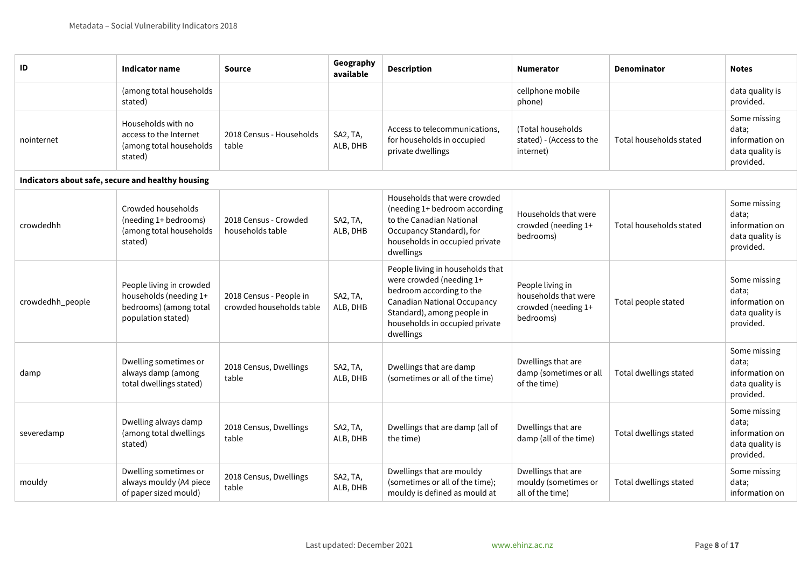| ID                                                | Indicator name                                                                                     | <b>Source</b>                                       | Geography<br>available | <b>Description</b>                                                                                                                                                                                          | <b>Numerator</b>                                                             | <b>Denominator</b>      | <b>Notes</b>                                                            |
|---------------------------------------------------|----------------------------------------------------------------------------------------------------|-----------------------------------------------------|------------------------|-------------------------------------------------------------------------------------------------------------------------------------------------------------------------------------------------------------|------------------------------------------------------------------------------|-------------------------|-------------------------------------------------------------------------|
|                                                   | (among total households<br>stated)                                                                 |                                                     |                        |                                                                                                                                                                                                             | cellphone mobile<br>phone)                                                   |                         | data quality is<br>provided.                                            |
| nointernet                                        | Households with no<br>access to the Internet<br>(among total households<br>stated)                 | 2018 Census - Households<br>table                   | SA2, TA,<br>ALB, DHB   | Access to telecommunications,<br>for households in occupied<br>private dwellings                                                                                                                            | (Total households)<br>stated) - (Access to the<br>internet)                  | Total households stated | Some missing<br>data;<br>information on<br>data quality is<br>provided. |
| Indicators about safe, secure and healthy housing |                                                                                                    |                                                     |                        |                                                                                                                                                                                                             |                                                                              |                         |                                                                         |
| crowdedhh                                         | Crowded households<br>(needing 1+ bedrooms)<br>(among total households<br>stated)                  | 2018 Census - Crowded<br>households table           | SA2, TA,<br>ALB, DHB   | Households that were crowded<br>(needing 1+ bedroom according<br>to the Canadian National<br>Occupancy Standard), for<br>households in occupied private<br>dwellings                                        | Households that were<br>crowded (needing 1+<br>bedrooms)                     | Total households stated | Some missing<br>data;<br>information on<br>data quality is<br>provided. |
| crowdedhh_people                                  | People living in crowded<br>households (needing 1+<br>bedrooms) (among total<br>population stated) | 2018 Census - People in<br>crowded households table | SA2, TA,<br>ALB, DHB   | People living in households that<br>were crowded (needing 1+<br>bedroom according to the<br><b>Canadian National Occupancy</b><br>Standard), among people in<br>households in occupied private<br>dwellings | People living in<br>households that were<br>crowded (needing 1+<br>bedrooms) | Total people stated     | Some missing<br>data;<br>information on<br>data quality is<br>provided. |
| damp                                              | Dwelling sometimes or<br>always damp (among<br>total dwellings stated)                             | 2018 Census, Dwellings<br>table                     | SA2, TA,<br>ALB, DHB   | Dwellings that are damp<br>(sometimes or all of the time)                                                                                                                                                   | Dwellings that are<br>damp (sometimes or all<br>of the time)                 | Total dwellings stated  | Some missing<br>data;<br>information on<br>data quality is<br>provided. |
| severedamp                                        | Dwelling always damp<br>(among total dwellings<br>stated)                                          | 2018 Census, Dwellings<br>table                     | SA2, TA,<br>ALB, DHB   | Dwellings that are damp (all of<br>the time)                                                                                                                                                                | Dwellings that are<br>damp (all of the time)                                 | Total dwellings stated  | Some missing<br>data;<br>information on<br>data quality is<br>provided. |
| mouldy                                            | Dwelling sometimes or<br>always mouldy (A4 piece<br>of paper sized mould)                          | 2018 Census, Dwellings<br>table                     | SA2, TA,<br>ALB, DHB   | Dwellings that are mouldy<br>(sometimes or all of the time);<br>mouldy is defined as mould at                                                                                                               | Dwellings that are<br>mouldy (sometimes or<br>all of the time)               | Total dwellings stated  | Some missing<br>data;<br>information on                                 |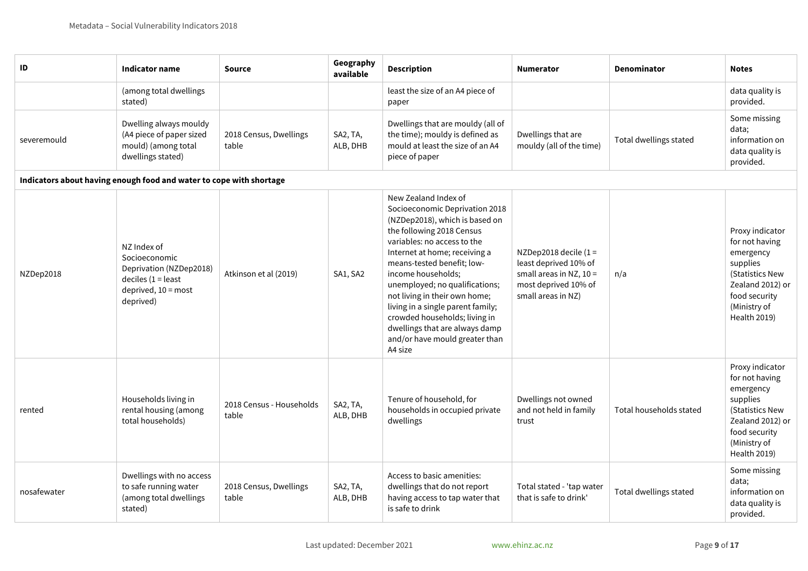| ID          | Indicator name                                                                                                      | <b>Source</b>                     | Geography<br>available | <b>Description</b>                                                                                                                                                                                                                                                                                                                                                                                                                                                | <b>Numerator</b>                                                                                                            | <b>Denominator</b>      | <b>Notes</b>                                                                                                                                              |
|-------------|---------------------------------------------------------------------------------------------------------------------|-----------------------------------|------------------------|-------------------------------------------------------------------------------------------------------------------------------------------------------------------------------------------------------------------------------------------------------------------------------------------------------------------------------------------------------------------------------------------------------------------------------------------------------------------|-----------------------------------------------------------------------------------------------------------------------------|-------------------------|-----------------------------------------------------------------------------------------------------------------------------------------------------------|
|             | (among total dwellings<br>stated)                                                                                   |                                   |                        | least the size of an A4 piece of<br>paper                                                                                                                                                                                                                                                                                                                                                                                                                         |                                                                                                                             |                         | data quality is<br>provided.                                                                                                                              |
| severemould | Dwelling always mouldy<br>(A4 piece of paper sized<br>mould) (among total<br>dwellings stated)                      | 2018 Census, Dwellings<br>table   | SA2, TA,<br>ALB, DHB   | Dwellings that are mouldy (all of<br>the time); mouldy is defined as<br>mould at least the size of an A4<br>piece of paper                                                                                                                                                                                                                                                                                                                                        | Dwellings that are<br>mouldy (all of the time)                                                                              | Total dwellings stated  | Some missing<br>data;<br>information on<br>data quality is<br>provided.                                                                                   |
|             | Indicators about having enough food and water to cope with shortage                                                 |                                   |                        |                                                                                                                                                                                                                                                                                                                                                                                                                                                                   |                                                                                                                             |                         |                                                                                                                                                           |
| NZDep2018   | NZ Index of<br>Socioeconomic<br>Deprivation (NZDep2018)<br>deciles $(1 =$ least<br>deprived, 10 = most<br>deprived) | Atkinson et al (2019)             | SA1, SA2               | New Zealand Index of<br>Socioeconomic Deprivation 2018<br>(NZDep2018), which is based on<br>the following 2018 Census<br>variables: no access to the<br>Internet at home; receiving a<br>means-tested benefit; low-<br>income households;<br>unemployed; no qualifications;<br>not living in their own home;<br>living in a single parent family;<br>crowded households; living in<br>dwellings that are always damp<br>and/or have mould greater than<br>A4 size | NZDep2018 decile $(1 =$<br>least deprived 10% of<br>small areas in NZ, $10 =$<br>most deprived 10% of<br>small areas in NZ) | n/a                     | Proxy indicator<br>for not having<br>emergency<br>supplies<br>(Statistics New<br>Zealand 2012) or<br>food security<br>(Ministry of<br><b>Health 2019)</b> |
| rented      | Households living in<br>rental housing (among<br>total households)                                                  | 2018 Census - Households<br>table | SA2, TA,<br>ALB, DHB   | Tenure of household, for<br>households in occupied private<br>dwellings                                                                                                                                                                                                                                                                                                                                                                                           | Dwellings not owned<br>and not held in family<br>trust                                                                      | Total households stated | Proxy indicator<br>for not having<br>emergency<br>supplies<br>(Statistics New<br>Zealand 2012) or<br>food security<br>(Ministry of<br><b>Health 2019)</b> |
| nosafewater | Dwellings with no access<br>to safe running water<br>(among total dwellings<br>stated)                              | 2018 Census, Dwellings<br>table   | SA2, TA,<br>ALB, DHB   | Access to basic amenities:<br>dwellings that do not report<br>having access to tap water that<br>is safe to drink                                                                                                                                                                                                                                                                                                                                                 | Total stated - 'tap water<br>that is safe to drink'                                                                         | Total dwellings stated  | Some missing<br>data;<br>information on<br>data quality is<br>provided.                                                                                   |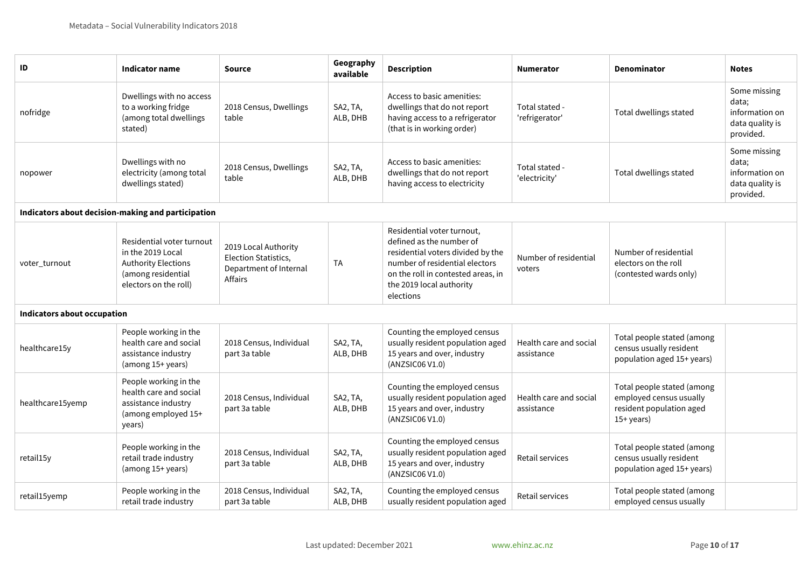| ID                                                 | Indicator name                                                                                                              | <b>Source</b>                                                                            | Geography<br>available | <b>Description</b>                                                                                                                                                                                           | <b>Numerator</b>                     | <b>Denominator</b>                                                                                 | <b>Notes</b>                                                            |  |  |  |
|----------------------------------------------------|-----------------------------------------------------------------------------------------------------------------------------|------------------------------------------------------------------------------------------|------------------------|--------------------------------------------------------------------------------------------------------------------------------------------------------------------------------------------------------------|--------------------------------------|----------------------------------------------------------------------------------------------------|-------------------------------------------------------------------------|--|--|--|
| nofridge                                           | Dwellings with no access<br>to a working fridge<br>(among total dwellings<br>stated)                                        | 2018 Census, Dwellings<br>table                                                          | SA2, TA,<br>ALB, DHB   | Access to basic amenities:<br>dwellings that do not report<br>having access to a refrigerator<br>(that is in working order)                                                                                  | Total stated -<br>'refrigerator'     | Total dwellings stated                                                                             | Some missing<br>data;<br>information on<br>data quality is<br>provided. |  |  |  |
| nopower                                            | Dwellings with no<br>electricity (among total<br>dwellings stated)                                                          | 2018 Census, Dwellings<br>table                                                          | SA2, TA,<br>ALB, DHB   | Access to basic amenities:<br>dwellings that do not report<br>having access to electricity                                                                                                                   | Total stated -<br>'electricity'      | Total dwellings stated                                                                             | Some missing<br>data;<br>information on<br>data quality is<br>provided. |  |  |  |
| Indicators about decision-making and participation |                                                                                                                             |                                                                                          |                        |                                                                                                                                                                                                              |                                      |                                                                                                    |                                                                         |  |  |  |
| voter_turnout                                      | Residential voter turnout<br>in the 2019 Local<br><b>Authority Elections</b><br>(among residential<br>electors on the roll) | 2019 Local Authority<br><b>Election Statistics,</b><br>Department of Internal<br>Affairs | TA                     | Residential voter turnout,<br>defined as the number of<br>residential voters divided by the<br>number of residential electors<br>on the roll in contested areas, in<br>the 2019 local authority<br>elections | Number of residential<br>voters      | Number of residential<br>electors on the roll<br>(contested wards only)                            |                                                                         |  |  |  |
| Indicators about occupation                        |                                                                                                                             |                                                                                          |                        |                                                                                                                                                                                                              |                                      |                                                                                                    |                                                                         |  |  |  |
| healthcare15y                                      | People working in the<br>health care and social<br>assistance industry<br>(among 15+ years)                                 | 2018 Census, Individual<br>part 3a table                                                 | SA2, TA,<br>ALB, DHB   | Counting the employed census<br>usually resident population aged<br>15 years and over, industry<br>(ANZSIC06 V1.0)                                                                                           | Health care and social<br>assistance | Total people stated (among<br>census usually resident<br>population aged 15+ years)                |                                                                         |  |  |  |
| healthcare15yemp                                   | People working in the<br>health care and social<br>assistance industry<br>(among employed 15+<br>years)                     | 2018 Census, Individual<br>part 3a table                                                 | SA2, TA,<br>ALB, DHB   | Counting the employed census<br>usually resident population aged<br>15 years and over, industry<br>(ANZSIC06 V1.0)                                                                                           | Health care and social<br>assistance | Total people stated (among<br>employed census usually<br>resident population aged<br>$15+ years$ ) |                                                                         |  |  |  |
| retail15y                                          | People working in the<br>retail trade industry<br>(among 15+ years)                                                         | 2018 Census, Individual<br>part 3a table                                                 | SA2, TA,<br>ALB, DHB   | Counting the employed census<br>usually resident population aged<br>15 years and over, industry<br>(ANZSIC06 V1.0)                                                                                           | Retail services                      | Total people stated (among<br>census usually resident<br>population aged 15+ years)                |                                                                         |  |  |  |
| retail15yemp                                       | People working in the<br>retail trade industry                                                                              | 2018 Census, Individual<br>part 3a table                                                 | SA2, TA,<br>ALB, DHB   | Counting the employed census<br>usually resident population aged                                                                                                                                             | Retail services                      | Total people stated (among<br>employed census usually                                              |                                                                         |  |  |  |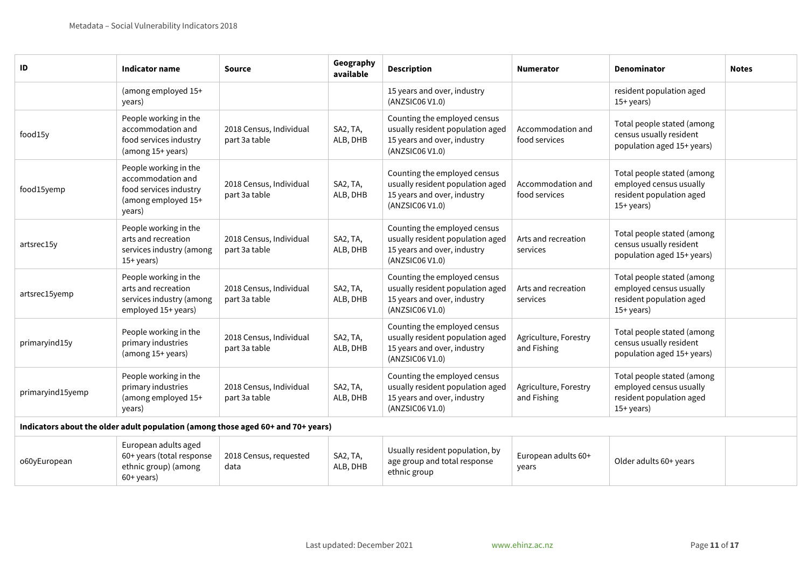| ID               | <b>Indicator name</b>                                                                                 | <b>Source</b>                                                                    | Geography<br>available | <b>Description</b>                                                                                                 | <b>Numerator</b>                     | <b>Denominator</b>                                                                                 | <b>Notes</b> |
|------------------|-------------------------------------------------------------------------------------------------------|----------------------------------------------------------------------------------|------------------------|--------------------------------------------------------------------------------------------------------------------|--------------------------------------|----------------------------------------------------------------------------------------------------|--------------|
|                  | (among employed 15+<br>years)                                                                         |                                                                                  |                        | 15 years and over, industry<br>(ANZSIC06 V1.0)                                                                     |                                      | resident population aged<br>$15+years$                                                             |              |
| food15y          | People working in the<br>accommodation and<br>food services industry<br>(among 15+ years)             | 2018 Census, Individual<br>part 3a table                                         | SA2, TA,<br>ALB, DHB   | Counting the employed census<br>usually resident population aged<br>15 years and over, industry<br>(ANZSIC06 V1.0) | Accommodation and<br>food services   | Total people stated (among<br>census usually resident<br>population aged 15+ years)                |              |
| food15yemp       | People working in the<br>accommodation and<br>food services industry<br>(among employed 15+<br>years) | 2018 Census, Individual<br>part 3a table                                         | SA2, TA,<br>ALB, DHB   | Counting the employed census<br>usually resident population aged<br>15 years and over, industry<br>(ANZSIC06 V1.0) | Accommodation and<br>food services   | Total people stated (among<br>employed census usually<br>resident population aged<br>$15+ years$ ) |              |
| artsrec15y       | People working in the<br>arts and recreation<br>services industry (among<br>$15+ \text{years}$        | 2018 Census, Individual<br>part 3a table                                         | SA2, TA,<br>ALB, DHB   | Counting the employed census<br>usually resident population aged<br>15 years and over, industry<br>(ANZSIC06 V1.0) | Arts and recreation<br>services      | Total people stated (among<br>census usually resident<br>population aged 15+ years)                |              |
| artsrec15yemp    | People working in the<br>arts and recreation<br>services industry (among<br>employed 15+ years)       | 2018 Census, Individual<br>part 3a table                                         | SA2, TA,<br>ALB, DHB   | Counting the employed census<br>usually resident population aged<br>15 years and over, industry<br>(ANZSIC06 V1.0) | Arts and recreation<br>services      | Total people stated (among<br>employed census usually<br>resident population aged<br>$15+years$    |              |
| primaryind15y    | People working in the<br>primary industries<br>(among 15+ years)                                      | 2018 Census, Individual<br>part 3a table                                         | SA2, TA,<br>ALB, DHB   | Counting the employed census<br>usually resident population aged<br>15 years and over, industry<br>(ANZSIC06 V1.0) | Agriculture, Forestry<br>and Fishing | Total people stated (among<br>census usually resident<br>population aged 15+ years)                |              |
| primaryind15yemp | People working in the<br>primary industries<br>(among employed 15+<br>years)                          | 2018 Census, Individual<br>part 3a table                                         | SA2, TA,<br>ALB, DHB   | Counting the employed census<br>usually resident population aged<br>15 years and over, industry<br>(ANZSIC06 V1.0) | Agriculture, Forestry<br>and Fishing | Total people stated (among<br>employed census usually<br>resident population aged<br>$15+years$    |              |
|                  |                                                                                                       | Indicators about the older adult population (among those aged 60+ and 70+ years) |                        |                                                                                                                    |                                      |                                                                                                    |              |
| o60yEuropean     | European adults aged<br>60+ years (total response<br>ethnic group) (among<br>$60+years$               | 2018 Census, requested<br>data                                                   | SA2, TA,<br>ALB, DHB   | Usually resident population, by<br>age group and total response<br>ethnic group                                    | European adults 60+<br>years         | Older adults 60+ years                                                                             |              |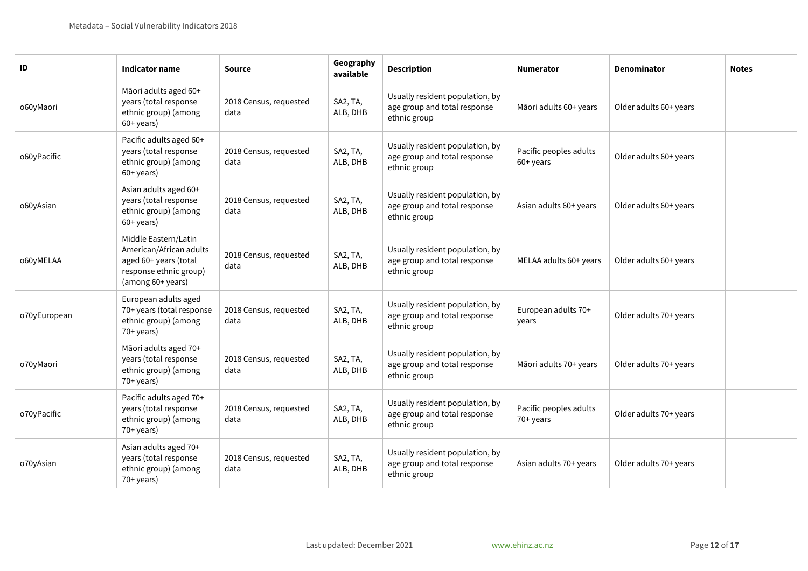| ID           | Indicator name                                                                                                          | <b>Source</b>                  | Geography<br>available | <b>Description</b>                                                              | <b>Numerator</b>                    | <b>Denominator</b>     | <b>Notes</b> |
|--------------|-------------------------------------------------------------------------------------------------------------------------|--------------------------------|------------------------|---------------------------------------------------------------------------------|-------------------------------------|------------------------|--------------|
| o60yMaori    | Māori adults aged 60+<br>years (total response<br>ethnic group) (among<br>$60+years$ )                                  | 2018 Census, requested<br>data | SA2, TA,<br>ALB, DHB   | Usually resident population, by<br>age group and total response<br>ethnic group | Māori adults 60+ years              | Older adults 60+ years |              |
| o60yPacific  | Pacific adults aged 60+<br>years (total response<br>ethnic group) (among<br>60+ years)                                  | 2018 Census, requested<br>data | SA2, TA,<br>ALB, DHB   | Usually resident population, by<br>age group and total response<br>ethnic group | Pacific peoples adults<br>60+ years | Older adults 60+ years |              |
| o60yAsian    | Asian adults aged 60+<br>years (total response<br>ethnic group) (among<br>$60+years$                                    | 2018 Census, requested<br>data | SA2, TA,<br>ALB, DHB   | Usually resident population, by<br>age group and total response<br>ethnic group | Asian adults 60+ years              | Older adults 60+ years |              |
| o60yMELAA    | Middle Eastern/Latin<br>American/African adults<br>aged 60+ years (total<br>response ethnic group)<br>(among 60+ years) | 2018 Census, requested<br>data | SA2, TA,<br>ALB, DHB   | Usually resident population, by<br>age group and total response<br>ethnic group | MELAA adults 60+ years              | Older adults 60+ years |              |
| o70yEuropean | European adults aged<br>70+ years (total response<br>ethnic group) (among<br>$70+years$                                 | 2018 Census, requested<br>data | SA2, TA,<br>ALB, DHB   | Usually resident population, by<br>age group and total response<br>ethnic group | European adults 70+<br>years        | Older adults 70+ years |              |
| o70yMaori    | Māori adults aged 70+<br>years (total response<br>ethnic group) (among<br>$70+years$                                    | 2018 Census, requested<br>data | SA2, TA,<br>ALB, DHB   | Usually resident population, by<br>age group and total response<br>ethnic group | Māori adults 70+ years              | Older adults 70+ years |              |
| o70yPacific  | Pacific adults aged 70+<br>years (total response<br>ethnic group) (among<br>$70+years$                                  | 2018 Census, requested<br>data | SA2, TA,<br>ALB, DHB   | Usually resident population, by<br>age group and total response<br>ethnic group | Pacific peoples adults<br>70+ years | Older adults 70+ years |              |
| o70yAsian    | Asian adults aged 70+<br>years (total response<br>ethnic group) (among<br>$70+years$                                    | 2018 Census, requested<br>data | SA2, TA,<br>ALB, DHB   | Usually resident population, by<br>age group and total response<br>ethnic group | Asian adults 70+ years              | Older adults 70+ years |              |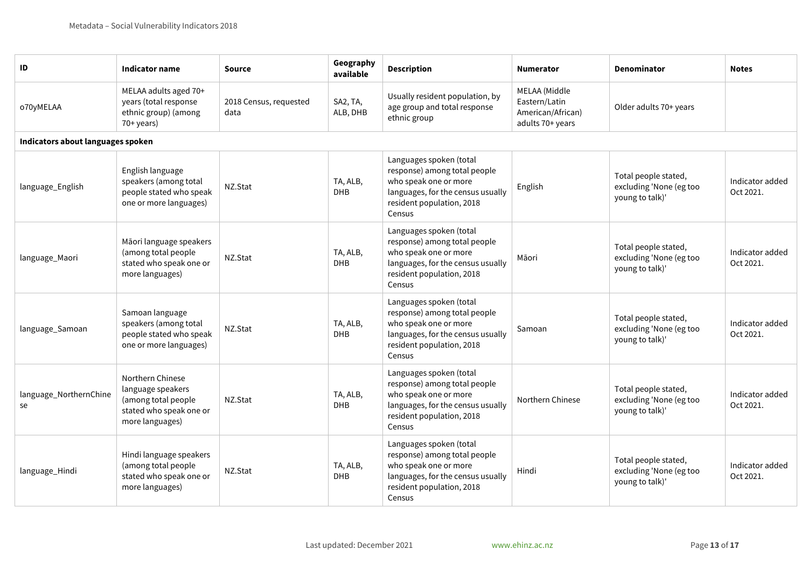| ID                                | <b>Indicator name</b>                                                                                      | <b>Source</b>                  | Geography<br>available | <b>Description</b>                                                                                                                                                      | <b>Numerator</b> | <b>Denominator</b>                                                 | <b>Notes</b>                 |
|-----------------------------------|------------------------------------------------------------------------------------------------------------|--------------------------------|------------------------|-------------------------------------------------------------------------------------------------------------------------------------------------------------------------|------------------|--------------------------------------------------------------------|------------------------------|
| o70yMELAA                         | MELAA adults aged 70+<br>years (total response<br>ethnic group) (among<br>$70+years$                       | 2018 Census, requested<br>data | SA2, TA,<br>ALB, DHB   | MELAA (Middle<br>Usually resident population, by<br>Eastern/Latin<br>age group and total response<br>American/African)<br>ethnic group<br>adults 70+ years              |                  | Older adults 70+ years                                             |                              |
| Indicators about languages spoken |                                                                                                            |                                |                        |                                                                                                                                                                         |                  |                                                                    |                              |
| language_English                  | English language<br>speakers (among total<br>people stated who speak<br>one or more languages)             | NZ.Stat                        | TA, ALB,<br>DHB        | Languages spoken (total<br>response) among total people<br>who speak one or more<br>English<br>languages, for the census usually<br>resident population, 2018<br>Census |                  | Total people stated,<br>excluding 'None (eg too<br>young to talk)' | Indicator added<br>Oct 2021. |
| language_Maori                    | Māori language speakers<br>(among total people<br>stated who speak one or<br>more languages)               | NZ.Stat                        | TA, ALB,<br><b>DHB</b> | Languages spoken (total<br>response) among total people<br>who speak one or more<br>Māori<br>languages, for the census usually<br>resident population, 2018<br>Census   |                  | Total people stated,<br>excluding 'None (eg too<br>young to talk)' | Indicator added<br>Oct 2021. |
| language_Samoan                   | Samoan language<br>speakers (among total<br>people stated who speak<br>one or more languages)              | NZ.Stat                        | TA, ALB,<br><b>DHB</b> | Languages spoken (total<br>response) among total people<br>who speak one or more<br>languages, for the census usually<br>resident population, 2018<br>Census            | Samoan           | Total people stated,<br>excluding 'None (eg too<br>young to talk)' | Indicator added<br>Oct 2021. |
| language_NorthernChine<br>se      | Northern Chinese<br>language speakers<br>(among total people<br>stated who speak one or<br>more languages) | NZ.Stat                        | TA, ALB,<br><b>DHB</b> | Languages spoken (total<br>response) among total people<br>who speak one or more<br>languages, for the census usually<br>resident population, 2018<br>Census            | Northern Chinese | Total people stated,<br>excluding 'None (eg too<br>young to talk)' | Indicator added<br>Oct 2021. |
| language_Hindi                    | Hindi language speakers<br>(among total people<br>stated who speak one or<br>more languages)               | NZ.Stat                        | TA, ALB,<br>DHB        | Languages spoken (total<br>response) among total people<br>who speak one or more<br>languages, for the census usually<br>resident population, 2018<br>Census            | Hindi            | Total people stated,<br>excluding 'None (eg too<br>young to talk)' | Indicator added<br>Oct 2021. |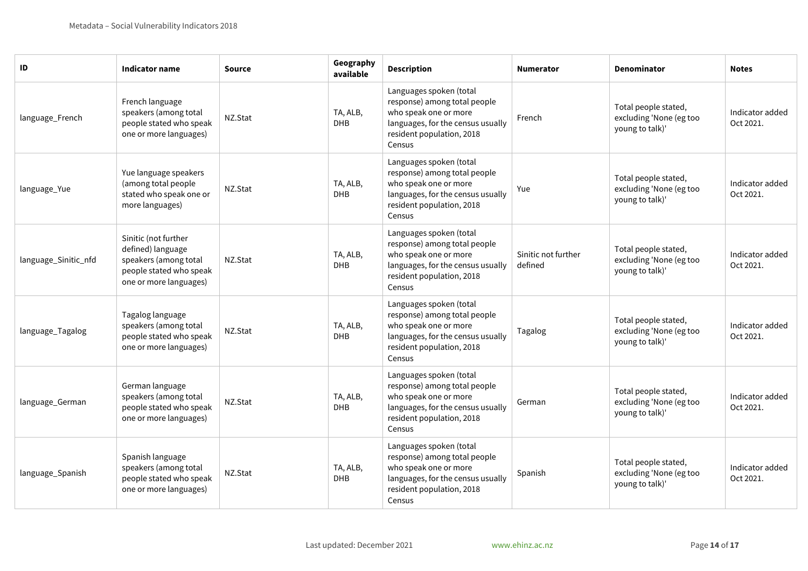| ID                   | Indicator name                                                                                                          | <b>Source</b> | Geography<br>available | <b>Description</b>                                                                                                                                                      | <b>Numerator</b>                                                                                     | <b>Denominator</b>                                                 | <b>Notes</b>                 |
|----------------------|-------------------------------------------------------------------------------------------------------------------------|---------------|------------------------|-------------------------------------------------------------------------------------------------------------------------------------------------------------------------|------------------------------------------------------------------------------------------------------|--------------------------------------------------------------------|------------------------------|
| language_French      | French language<br>speakers (among total<br>people stated who speak<br>one or more languages)                           | NZ.Stat       | TA, ALB,<br><b>DHB</b> | Languages spoken (total<br>response) among total people<br>who speak one or more<br>languages, for the census usually<br>resident population, 2018<br>Census            | French                                                                                               | Total people stated,<br>excluding 'None (eg too<br>young to talk)' | Indicator added<br>Oct 2021. |
| language_Yue         | Yue language speakers<br>(among total people<br>stated who speak one or<br>more languages)                              | NZ.Stat       | TA, ALB,<br>DHB        | Languages spoken (total<br>response) among total people<br>who speak one or more<br>languages, for the census usually<br>resident population, 2018<br>Census            | Yue                                                                                                  | Total people stated,<br>excluding 'None (eg too<br>young to talk)' | Indicator added<br>Oct 2021. |
| language_Sinitic_nfd | Sinitic (not further<br>defined) language<br>speakers (among total<br>people stated who speak<br>one or more languages) | NZ.Stat       | TA, ALB,<br><b>DHB</b> | Languages spoken (total<br>response) among total people<br>who speak one or more<br>languages, for the census usually<br>resident population, 2018<br>Census            | Total people stated,<br>Sinitic not further<br>excluding 'None (eg too<br>defined<br>young to talk)' |                                                                    | Indicator added<br>Oct 2021. |
| language_Tagalog     | Tagalog language<br>speakers (among total<br>people stated who speak<br>one or more languages)                          | NZ.Stat       | TA, ALB,<br><b>DHB</b> | Languages spoken (total<br>response) among total people<br>who speak one or more<br>Tagalog<br>languages, for the census usually<br>resident population, 2018<br>Census |                                                                                                      | Total people stated,<br>excluding 'None (eg too<br>young to talk)' | Indicator added<br>Oct 2021. |
| language_German      | German language<br>speakers (among total<br>people stated who speak<br>one or more languages)                           | NZ.Stat       | TA, ALB,<br>DHB        | Languages spoken (total<br>response) among total people<br>who speak one or more<br>German<br>languages, for the census usually<br>resident population, 2018<br>Census  |                                                                                                      | Total people stated,<br>excluding 'None (eg too<br>young to talk)' | Indicator added<br>Oct 2021. |
| language_Spanish     | Spanish language<br>speakers (among total<br>people stated who speak<br>one or more languages)                          | NZ.Stat       | TA, ALB,<br><b>DHB</b> | Languages spoken (total<br>response) among total people<br>who speak one or more<br>languages, for the census usually<br>resident population, 2018<br>Census            | Spanish                                                                                              | Total people stated,<br>excluding 'None (eg too<br>young to talk)' | Indicator added<br>Oct 2021. |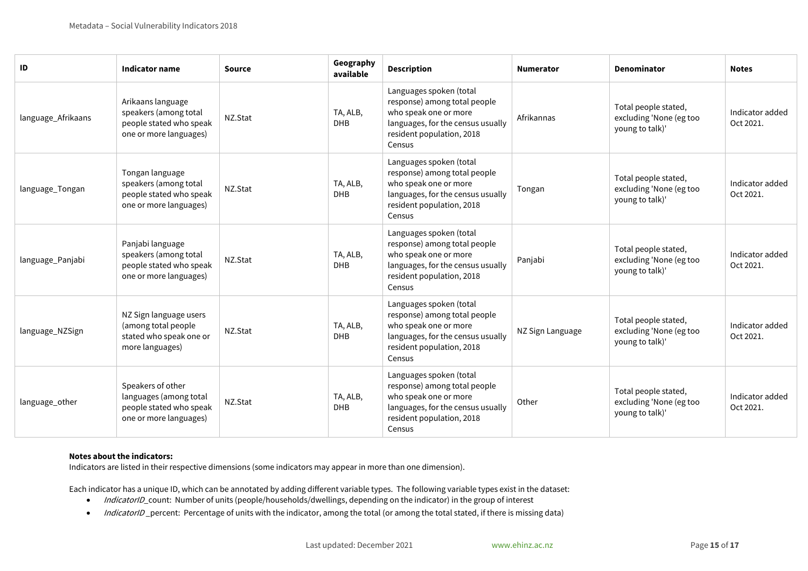| ID                 | Indicator name                                                                                   | Source  | Geography<br>available | <b>Description</b>                                                                                                                                                         | <b>Numerator</b> | <b>Denominator</b>                                                 | <b>Notes</b>                 |
|--------------------|--------------------------------------------------------------------------------------------------|---------|------------------------|----------------------------------------------------------------------------------------------------------------------------------------------------------------------------|------------------|--------------------------------------------------------------------|------------------------------|
| language_Afrikaans | Arikaans language<br>speakers (among total<br>people stated who speak<br>one or more languages)  | NZ.Stat | TA, ALB,<br><b>DHB</b> | Languages spoken (total<br>response) among total people<br>who speak one or more<br>Afrikannas<br>languages, for the census usually<br>resident population, 2018<br>Census |                  | Total people stated,<br>excluding 'None (eg too<br>young to talk)' | Indicator added<br>Oct 2021. |
| language_Tongan    | Tongan language<br>speakers (among total<br>people stated who speak<br>one or more languages)    | NZ.Stat | TA, ALB,<br><b>DHB</b> | Languages spoken (total<br>response) among total people<br>who speak one or more<br>Tongan<br>languages, for the census usually<br>resident population, 2018<br>Census     |                  | Total people stated,<br>excluding 'None (eg too<br>young to talk)' | Indicator added<br>Oct 2021. |
| language_Panjabi   | Panjabi language<br>speakers (among total<br>people stated who speak<br>one or more languages)   | NZ.Stat | TA, ALB,<br><b>DHB</b> | Languages spoken (total<br>response) among total people<br>who speak one or more<br>languages, for the census usually<br>resident population, 2018<br>Census               | Panjabi          | Total people stated,<br>excluding 'None (eg too<br>young to talk)' | Indicator added<br>Oct 2021. |
| language_NZSign    | NZ Sign language users<br>(among total people)<br>stated who speak one or<br>more languages)     | NZ.Stat | TA, ALB,<br><b>DHB</b> | Languages spoken (total<br>response) among total people<br>who speak one or more<br>languages, for the census usually<br>resident population, 2018<br>Census               | NZ Sign Language | Total people stated,<br>excluding 'None (eg too<br>young to talk)' | Indicator added<br>Oct 2021. |
| language_other     | Speakers of other<br>languages (among total<br>people stated who speak<br>one or more languages) | NZ.Stat | TA, ALB,<br><b>DHB</b> | Languages spoken (total<br>response) among total people<br>who speak one or more<br>Other<br>languages, for the census usually<br>resident population, 2018<br>Census      |                  | Total people stated,<br>excluding 'None (eg too<br>young to talk)' | Indicator added<br>Oct 2021. |

### **Notes about the indicators:**

Indicators are listed in their respective dimensions (some indicators may appear in more than one dimension).

Each indicator has a unique ID, which can be annotated by adding different variable types. The following variable types exist in the dataset:

- IndicatorID\_count: Number of units (people/households/dwellings, depending on the indicator) in the group of interest
- *IndicatorID* \_percent: Percentage of units with the indicator, among the total (or among the total stated, if there is missing data)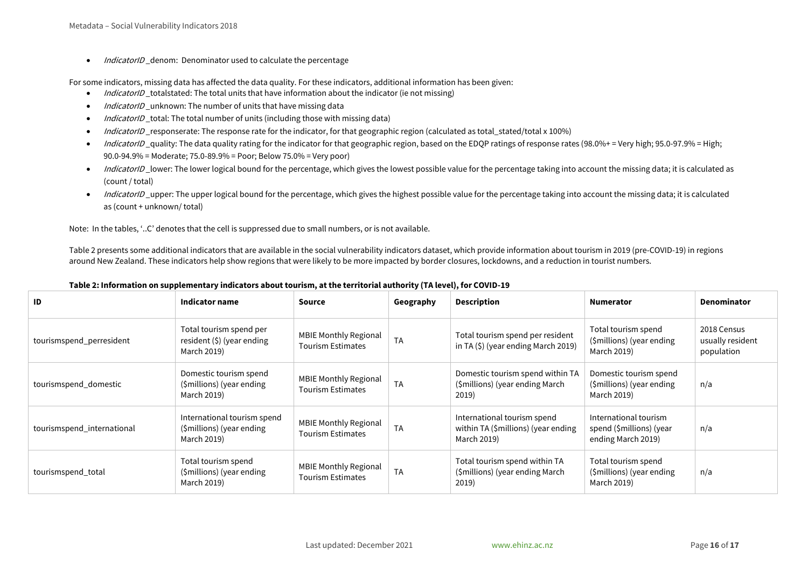• *IndicatorID* denom: Denominator used to calculate the percentage

For some indicators, missing data has affected the data quality. For these indicators, additional information has been given:

- *IndicatorID* totalstated: The total units that have information about the indicator (ie not missing)
- *IndicatorID* unknown: The number of units that have missing data
- *IndicatorID* total: The total number of units (including those with missing data)
- IndicatorID\_responserate: The response rate for the indicator, for that geographic region (calculated as total\_stated/total x 100%)
- IndicatorID\_quality: The data quality rating for the indicator for that geographic region, based on the EDQP ratings of response rates (98.0%+ = Very high; 95.0-97.9% = High; 90.0-94.9% = Moderate; 75.0-89.9% = Poor; Below 75.0% = Very poor)
- IndicatorID lower: The lower logical bound for the percentage, which gives the lowest possible value for the percentage taking into account the missing data; it is calculated as (count / total)
- *IndicatorID* upper: The upper logical bound for the percentage, which gives the highest possible value for the percentage taking into account the missing data; it is calculated as (count + unknown/ total)

Note: In the tables, '..C' denotes that the cell is suppressed due to small numbers, or is not available.

Table 2 presents some additional indicators that are available in the social vulnerability indicators dataset, which provide information about tourism in 2019 (pre-COVID-19) in regions around New Zealand. These indicators help show regions that were likely to be more impacted by border closures, lockdowns, and a reduction in tourist numbers.

| ID                         | Indicator name                                                          | Source                                                   | Geography | <b>Description</b>                                                                | <b>Numerator</b>                                                        | <b>Denominator</b>                            |
|----------------------------|-------------------------------------------------------------------------|----------------------------------------------------------|-----------|-----------------------------------------------------------------------------------|-------------------------------------------------------------------------|-----------------------------------------------|
| tourismspend_perresident   | Total tourism spend per<br>resident (\$) (year ending<br>March 2019)    | <b>MBIE Monthly Regional</b><br><b>Tourism Estimates</b> | <b>TA</b> | Total tourism spend per resident<br>in TA (\$) (year ending March 2019)           | Total tourism spend<br>(\$millions) (year ending<br>March 2019)         | 2018 Census<br>usually resident<br>population |
| tourismspend_domestic      | Domestic tourism spend<br>(\$millions) (year ending<br>March 2019)      | <b>MBIE Monthly Regional</b><br><b>Tourism Estimates</b> | <b>TA</b> | Domestic tourism spend within TA<br>(\$millions) (year ending March<br>2019       | Domestic tourism spend<br>(\$millions) (year ending<br>March 2019)      | n/a                                           |
| tourismspend_international | International tourism spend<br>(\$millions) (year ending<br>March 2019) | <b>MBIE Monthly Regional</b><br><b>Tourism Estimates</b> | <b>TA</b> | International tourism spend<br>within TA (\$millions) (year ending<br>March 2019) | International tourism<br>spend (\$millions) (year<br>ending March 2019) | n/a                                           |
| tourismspend_total         | Total tourism spend<br>(\$millions) (year ending<br>March 2019)         | <b>MBIE Monthly Regional</b><br><b>Tourism Estimates</b> | <b>TA</b> | Total tourism spend within TA<br>(\$millions) (year ending March<br>2019          | Total tourism spend<br>(\$millions) (year ending<br>March 2019)         | n/a                                           |

### **Table 2: Information on supplementary indicators about tourism, at the territorial authority (TA level), for COVID-19**